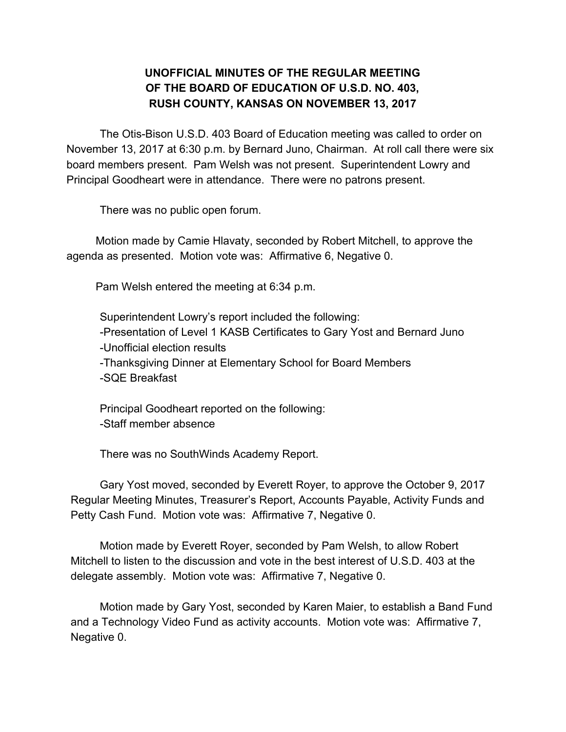## **UNOFFICIAL MINUTES OF THE REGULAR MEETING OF THE BOARD OF EDUCATION OF U.S.D. NO. 403, RUSH COUNTY, KANSAS ON NOVEMBER 13, 2017**

The Otis-Bison U.S.D. 403 Board of Education meeting was called to order on November 13, 2017 at 6:30 p.m. by Bernard Juno, Chairman. At roll call there were six board members present. Pam Welsh was not present. Superintendent Lowry and Principal Goodheart were in attendance. There were no patrons present.

There was no public open forum.

Motion made by Camie Hlavaty, seconded by Robert Mitchell, to approve the agenda as presented. Motion vote was: Affirmative 6, Negative 0.

Pam Welsh entered the meeting at 6:34 p.m.

Superintendent Lowry's report included the following: -Presentation of Level 1 KASB Certificates to Gary Yost and Bernard Juno -Unofficial election results -Thanksgiving Dinner at Elementary School for Board Members -SQE Breakfast

Principal Goodheart reported on the following: -Staff member absence

There was no SouthWinds Academy Report.

Gary Yost moved, seconded by Everett Royer, to approve the October 9, 2017 Regular Meeting Minutes, Treasurer's Report, Accounts Payable, Activity Funds and Petty Cash Fund. Motion vote was: Affirmative 7, Negative 0.

Motion made by Everett Royer, seconded by Pam Welsh, to allow Robert Mitchell to listen to the discussion and vote in the best interest of U.S.D. 403 at the delegate assembly. Motion vote was: Affirmative 7, Negative 0.

Motion made by Gary Yost, seconded by Karen Maier, to establish a Band Fund and a Technology Video Fund as activity accounts. Motion vote was: Affirmative 7, Negative 0.